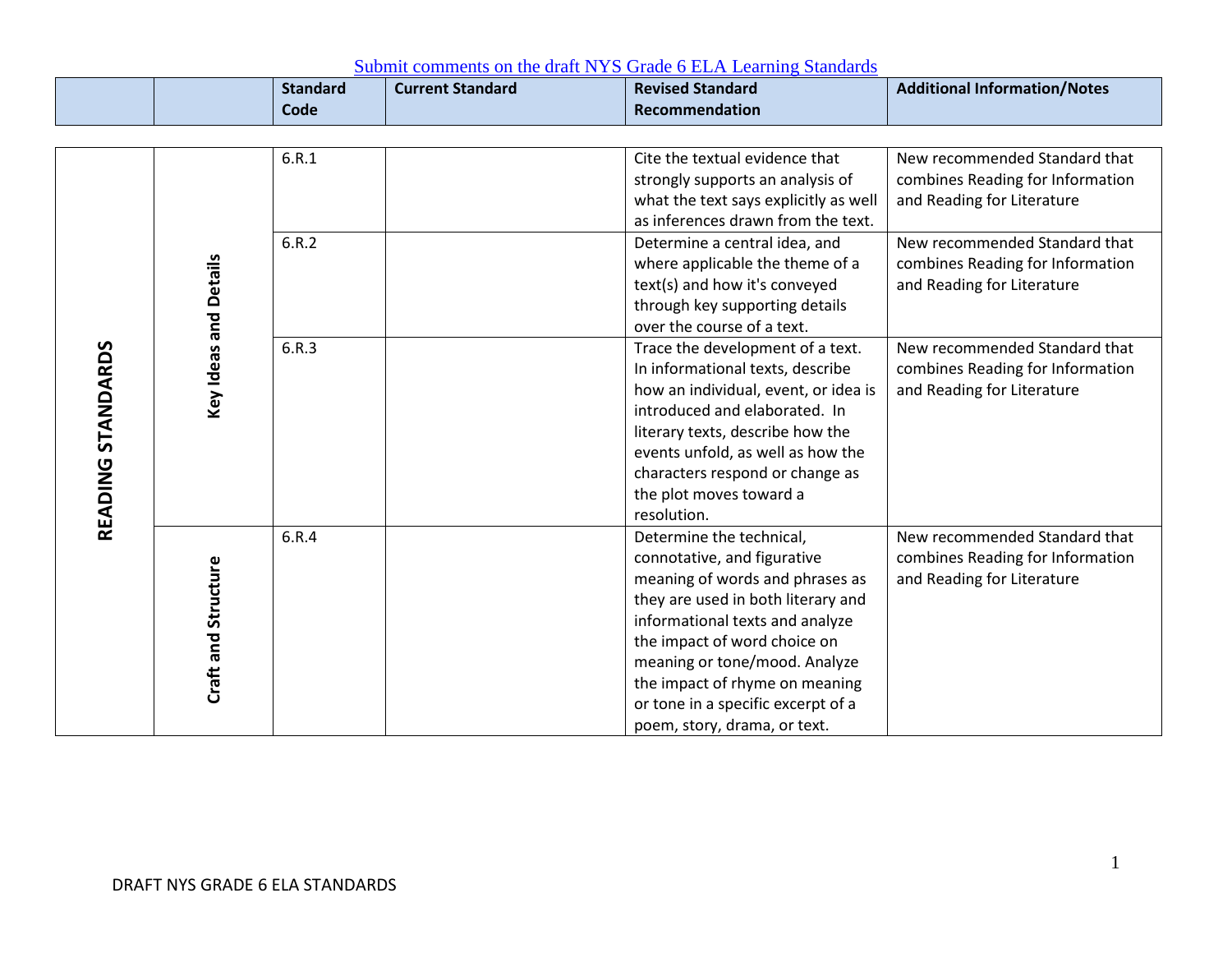|                   |                       | <b>Standard</b><br><b>Code</b> | <b>Current Standard</b> | <b>Revised Standard</b><br>Recommendation                                                                                                                                                                                                                                                                                                    | <b>Additional Information/Notes</b>                                                             |
|-------------------|-----------------------|--------------------------------|-------------------------|----------------------------------------------------------------------------------------------------------------------------------------------------------------------------------------------------------------------------------------------------------------------------------------------------------------------------------------------|-------------------------------------------------------------------------------------------------|
|                   |                       | 6.R.1                          |                         | Cite the textual evidence that<br>strongly supports an analysis of<br>what the text says explicitly as well<br>as inferences drawn from the text.                                                                                                                                                                                            | New recommended Standard that<br>combines Reading for Information<br>and Reading for Literature |
|                   |                       | 6.R.2                          |                         | Determine a central idea, and<br>where applicable the theme of a<br>text(s) and how it's conveyed<br>through key supporting details<br>over the course of a text.                                                                                                                                                                            | New recommended Standard that<br>combines Reading for Information<br>and Reading for Literature |
| READING STANDARDS | Key Ideas and Details | 6.R.3                          |                         | Trace the development of a text.<br>In informational texts, describe<br>how an individual, event, or idea is<br>introduced and elaborated. In<br>literary texts, describe how the<br>events unfold, as well as how the<br>characters respond or change as<br>the plot moves toward a<br>resolution.                                          | New recommended Standard that<br>combines Reading for Information<br>and Reading for Literature |
|                   | Craft and Structure   | 6.R.4                          |                         | Determine the technical,<br>connotative, and figurative<br>meaning of words and phrases as<br>they are used in both literary and<br>informational texts and analyze<br>the impact of word choice on<br>meaning or tone/mood. Analyze<br>the impact of rhyme on meaning<br>or tone in a specific excerpt of a<br>poem, story, drama, or text. | New recommended Standard that<br>combines Reading for Information<br>and Reading for Literature |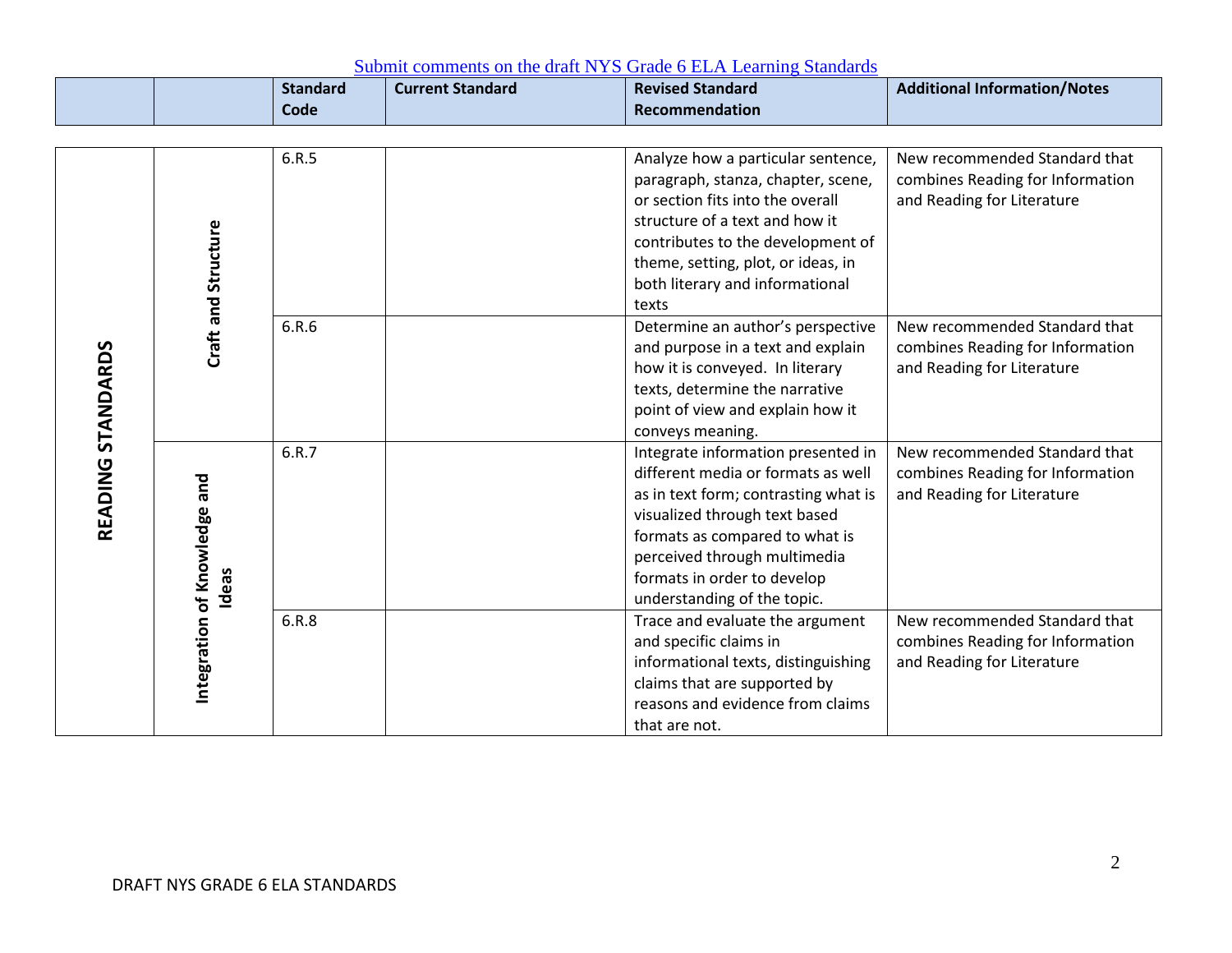|                   |                                       | <b>Standard</b><br>Code | <b>Current Standard</b> | <b>Revised Standard</b><br>Recommendation                                                                                                                                                                                                                                         | <b>Additional Information/Notes</b>                                                             |
|-------------------|---------------------------------------|-------------------------|-------------------------|-----------------------------------------------------------------------------------------------------------------------------------------------------------------------------------------------------------------------------------------------------------------------------------|-------------------------------------------------------------------------------------------------|
|                   |                                       |                         |                         |                                                                                                                                                                                                                                                                                   |                                                                                                 |
|                   | Craft and Structure                   | 6.R.5                   |                         | Analyze how a particular sentence,<br>paragraph, stanza, chapter, scene,<br>or section fits into the overall<br>structure of a text and how it<br>contributes to the development of<br>theme, setting, plot, or ideas, in<br>both literary and informational<br>texts             | New recommended Standard that<br>combines Reading for Information<br>and Reading for Literature |
|                   |                                       | 6.R.6                   |                         | Determine an author's perspective<br>and purpose in a text and explain<br>how it is conveyed. In literary<br>texts, determine the narrative<br>point of view and explain how it<br>conveys meaning.                                                                               | New recommended Standard that<br>combines Reading for Information<br>and Reading for Literature |
| READING STANDARDS | Integration of Knowledge and<br>Ideas | 6.R.7                   |                         | Integrate information presented in<br>different media or formats as well<br>as in text form; contrasting what is<br>visualized through text based<br>formats as compared to what is<br>perceived through multimedia<br>formats in order to develop<br>understanding of the topic. | New recommended Standard that<br>combines Reading for Information<br>and Reading for Literature |
|                   |                                       | 6.R.8                   |                         | Trace and evaluate the argument<br>and specific claims in<br>informational texts, distinguishing<br>claims that are supported by<br>reasons and evidence from claims<br>that are not.                                                                                             | New recommended Standard that<br>combines Reading for Information<br>and Reading for Literature |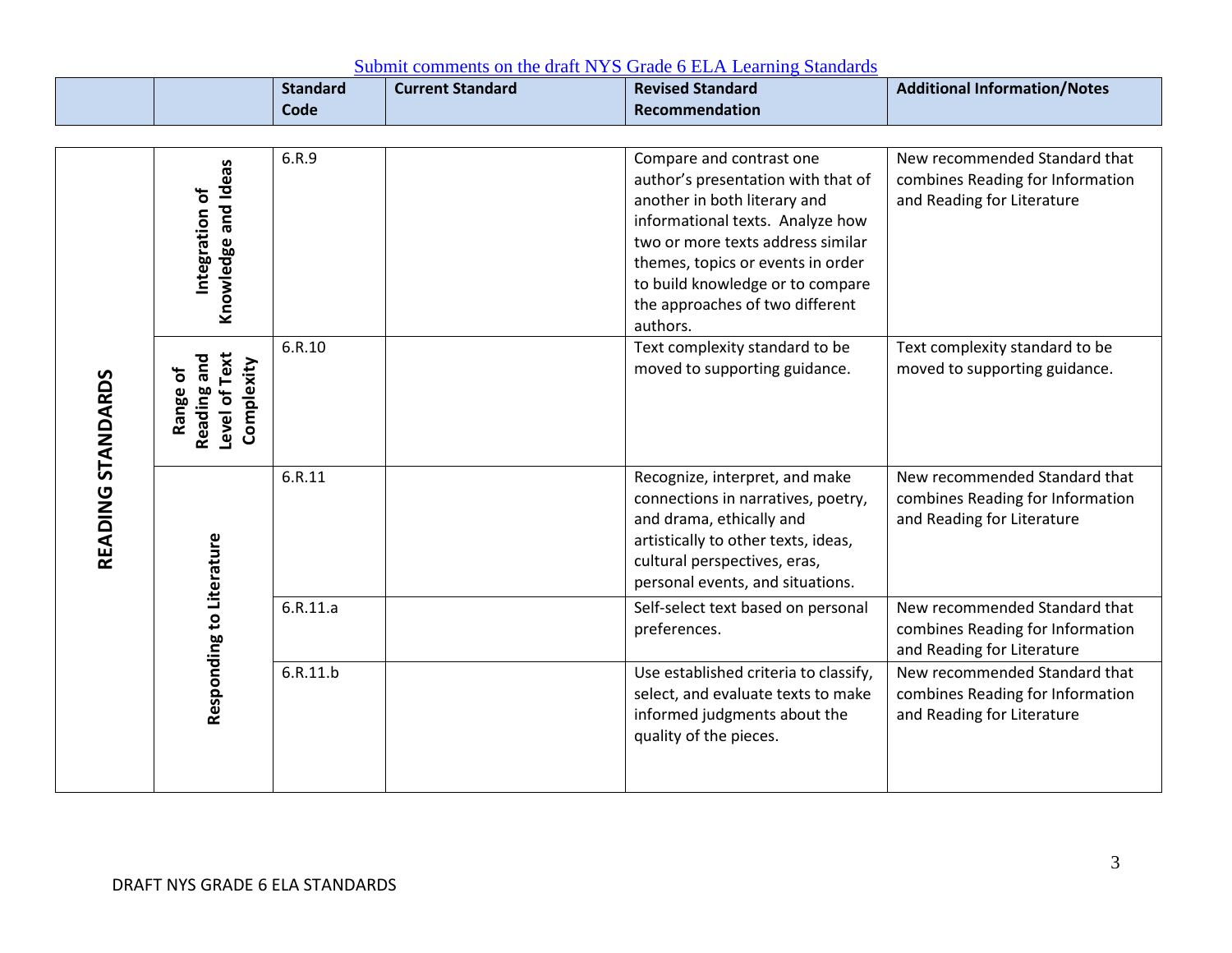|                   |                                                          | <b>Standard</b><br>Code | <b>Current Standard</b> | <b>Revised Standard</b><br>Recommendation                                                                                                                                                                                                                                                       | <b>Additional Information/Notes</b>                                                             |
|-------------------|----------------------------------------------------------|-------------------------|-------------------------|-------------------------------------------------------------------------------------------------------------------------------------------------------------------------------------------------------------------------------------------------------------------------------------------------|-------------------------------------------------------------------------------------------------|
|                   | Knowledge and Ideas<br>Integration of                    | 6.R.9                   |                         | Compare and contrast one<br>author's presentation with that of<br>another in both literary and<br>informational texts. Analyze how<br>two or more texts address similar<br>themes, topics or events in order<br>to build knowledge or to compare<br>the approaches of two different<br>authors. | New recommended Standard that<br>combines Reading for Information<br>and Reading for Literature |
|                   | Level of Text<br>Reading and<br>Complexity<br>đ<br>Range | 6.R.10                  |                         | Text complexity standard to be<br>moved to supporting guidance.                                                                                                                                                                                                                                 | Text complexity standard to be<br>moved to supporting guidance.                                 |
| READING STANDARDS |                                                          | 6.R.11                  |                         | Recognize, interpret, and make<br>connections in narratives, poetry,<br>and drama, ethically and<br>artistically to other texts, ideas,<br>cultural perspectives, eras,<br>personal events, and situations.                                                                                     | New recommended Standard that<br>combines Reading for Information<br>and Reading for Literature |
|                   | Responding to Literature                                 | 6.R.11.a                |                         | Self-select text based on personal<br>preferences.                                                                                                                                                                                                                                              | New recommended Standard that<br>combines Reading for Information<br>and Reading for Literature |
|                   |                                                          | 6.R.11.b                |                         | Use established criteria to classify,<br>select, and evaluate texts to make<br>informed judgments about the<br>quality of the pieces.                                                                                                                                                           | New recommended Standard that<br>combines Reading for Information<br>and Reading for Literature |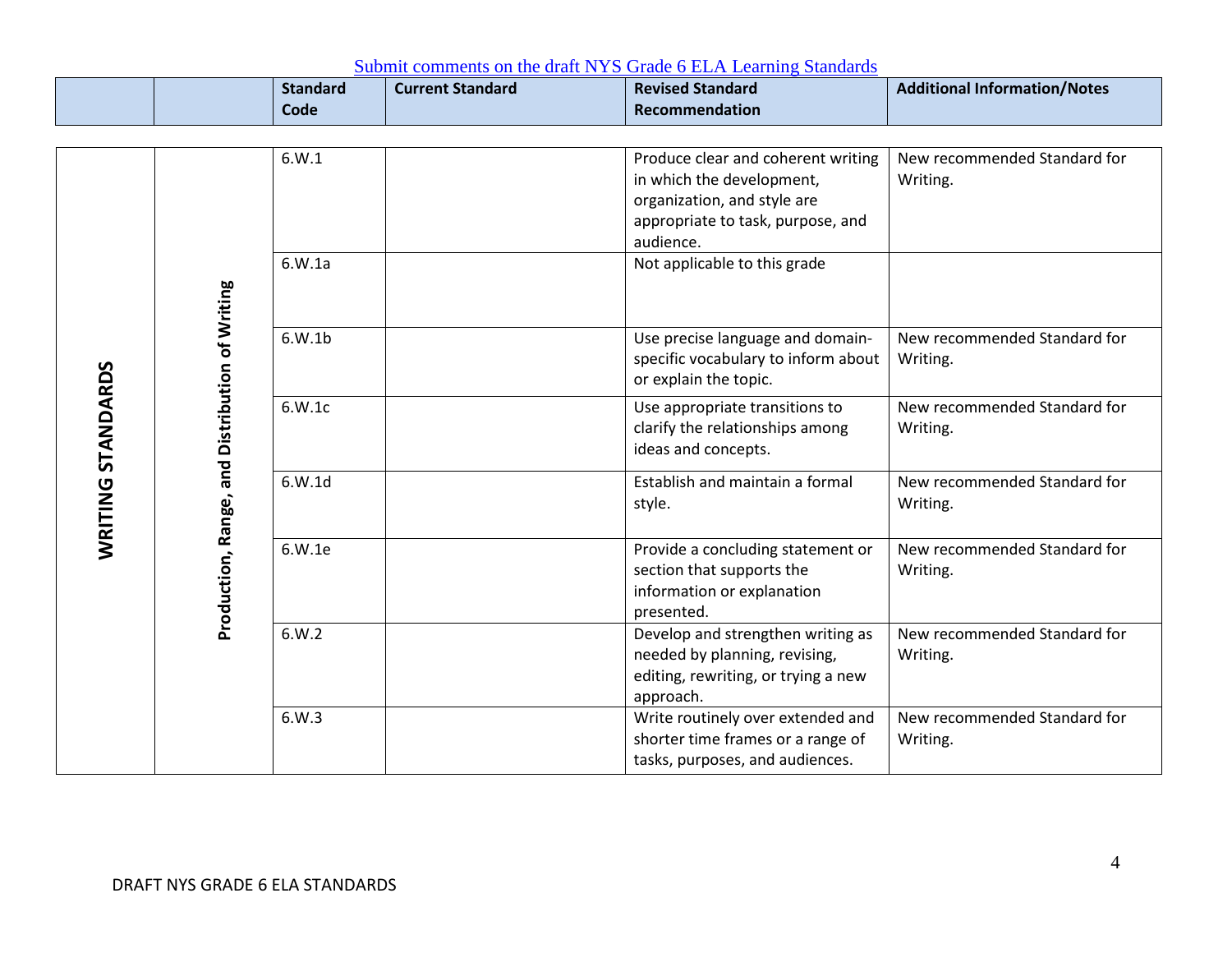|                   |                                                | <b>Standard</b><br>Code | <b>Current Standard</b> | <b>Revised Standard</b><br>Recommendation                                                                                                        | <b>Additional Information/Notes</b>      |
|-------------------|------------------------------------------------|-------------------------|-------------------------|--------------------------------------------------------------------------------------------------------------------------------------------------|------------------------------------------|
|                   |                                                | 6.W.1                   |                         | Produce clear and coherent writing<br>in which the development,<br>organization, and style are<br>appropriate to task, purpose, and<br>audience. | New recommended Standard for<br>Writing. |
|                   |                                                | 6.W.1a                  |                         | Not applicable to this grade                                                                                                                     |                                          |
|                   |                                                | 6.W.1b                  |                         | Use precise language and domain-<br>specific vocabulary to inform about<br>or explain the topic.                                                 | New recommended Standard for<br>Writing. |
| WRITING STANDARDS |                                                | 6.W.1c                  |                         | Use appropriate transitions to<br>clarify the relationships among<br>ideas and concepts.                                                         | New recommended Standard for<br>Writing. |
|                   |                                                | 6.W.1d                  |                         | Establish and maintain a formal<br>style.                                                                                                        | New recommended Standard for<br>Writing. |
|                   | Production, Range, and Distribution of Writing | 6.W.1e                  |                         | Provide a concluding statement or<br>section that supports the<br>information or explanation<br>presented.                                       | New recommended Standard for<br>Writing. |
|                   |                                                | 6.W.2                   |                         | Develop and strengthen writing as<br>needed by planning, revising,<br>editing, rewriting, or trying a new<br>approach.                           | New recommended Standard for<br>Writing. |
|                   |                                                | 6.W.3                   |                         | Write routinely over extended and<br>shorter time frames or a range of<br>tasks, purposes, and audiences.                                        | New recommended Standard for<br>Writing. |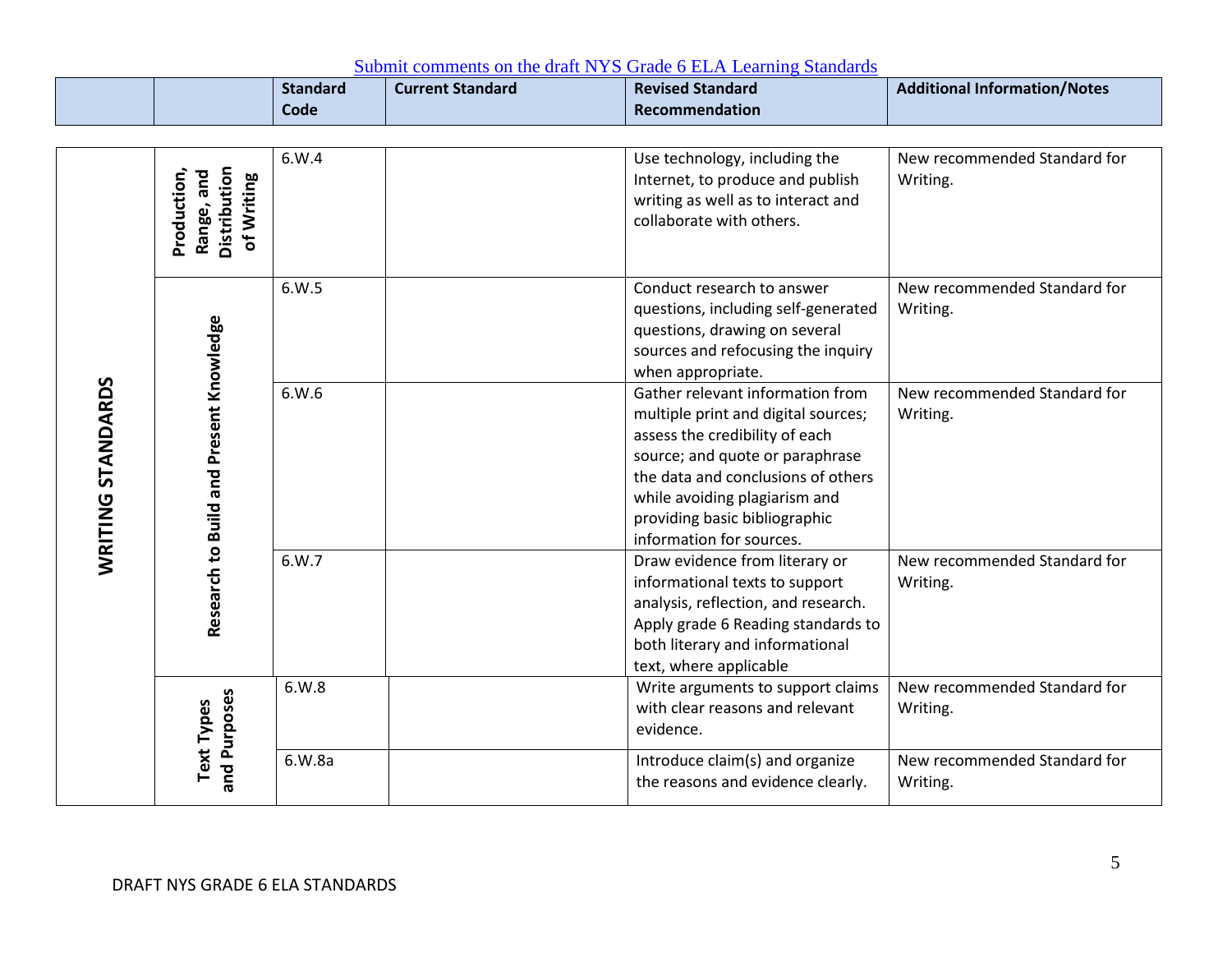|                   |                                                         | <b>Standard</b><br>Code | <b>Current Standard</b> | <b>Revised Standard</b><br>Recommendation                                                                                                                                                                                                                                        | <b>Additional Information/Notes</b>      |
|-------------------|---------------------------------------------------------|-------------------------|-------------------------|----------------------------------------------------------------------------------------------------------------------------------------------------------------------------------------------------------------------------------------------------------------------------------|------------------------------------------|
|                   | Distribution<br>Production,<br>Range, and<br>of Writing | 6.W.4                   |                         | Use technology, including the<br>Internet, to produce and publish<br>writing as well as to interact and<br>collaborate with others.                                                                                                                                              | New recommended Standard for<br>Writing. |
|                   |                                                         | 6.W.5                   |                         | Conduct research to answer<br>questions, including self-generated<br>questions, drawing on several<br>sources and refocusing the inquiry<br>when appropriate.                                                                                                                    | New recommended Standard for<br>Writing. |
| WRITING STANDARDS | Research to Build and Present Knowledge                 | 6.W.6                   |                         | Gather relevant information from<br>multiple print and digital sources;<br>assess the credibility of each<br>source; and quote or paraphrase<br>the data and conclusions of others<br>while avoiding plagiarism and<br>providing basic bibliographic<br>information for sources. | New recommended Standard for<br>Writing. |
|                   |                                                         | 6.W.7                   |                         | Draw evidence from literary or<br>informational texts to support<br>analysis, reflection, and research.<br>Apply grade 6 Reading standards to<br>both literary and informational<br>text, where applicable                                                                       | New recommended Standard for<br>Writing. |
|                   | and Purposes<br><b>Text Types</b>                       | 6.W.8                   |                         | Write arguments to support claims<br>with clear reasons and relevant<br>evidence.                                                                                                                                                                                                | New recommended Standard for<br>Writing. |
|                   |                                                         | 6.W.8a                  |                         | Introduce claim(s) and organize<br>the reasons and evidence clearly.                                                                                                                                                                                                             | New recommended Standard for<br>Writing. |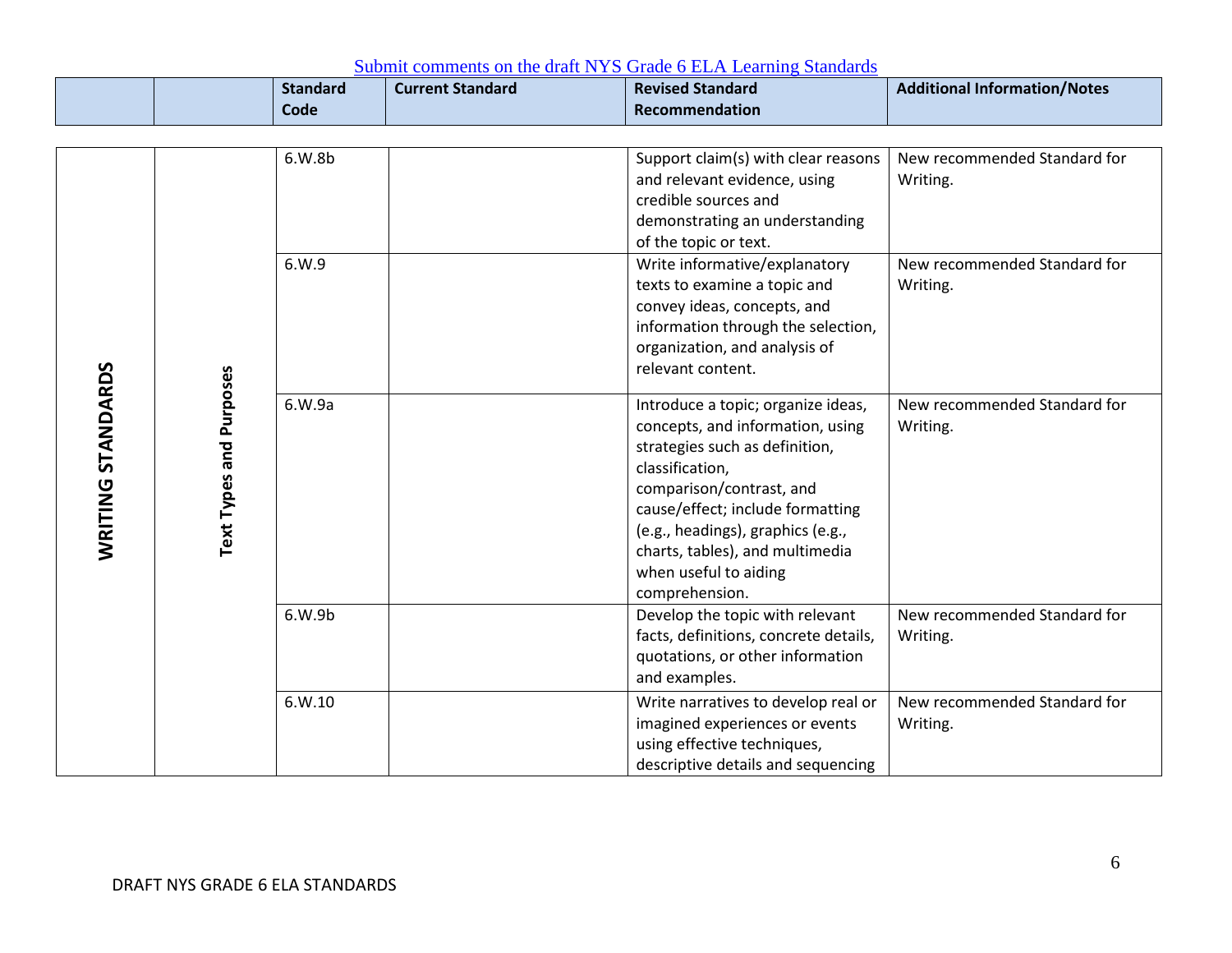|                                              | <b>Standard</b><br>Code | <b>Current Standard</b> | <b>Revised Standard</b><br>Recommendation                                                                                                                                                                                                                                                                                                          | <b>Additional Information/Notes</b>                                                  |
|----------------------------------------------|-------------------------|-------------------------|----------------------------------------------------------------------------------------------------------------------------------------------------------------------------------------------------------------------------------------------------------------------------------------------------------------------------------------------------|--------------------------------------------------------------------------------------|
| WRITING STANDARDS<br>Text Types and Purposes | 6.W.8b<br>6.W.9         |                         | Support claim(s) with clear reasons<br>and relevant evidence, using<br>credible sources and<br>demonstrating an understanding<br>of the topic or text.<br>Write informative/explanatory<br>texts to examine a topic and<br>convey ideas, concepts, and<br>information through the selection,<br>organization, and analysis of<br>relevant content. | New recommended Standard for<br>Writing.<br>New recommended Standard for<br>Writing. |
|                                              | 6.W.9a                  |                         | Introduce a topic; organize ideas,<br>concepts, and information, using<br>strategies such as definition,<br>classification,<br>comparison/contrast, and<br>cause/effect; include formatting<br>(e.g., headings), graphics (e.g.,<br>charts, tables), and multimedia<br>when useful to aiding<br>comprehension.                                     | New recommended Standard for<br>Writing.                                             |
|                                              | 6.W.9b                  |                         | Develop the topic with relevant<br>facts, definitions, concrete details,<br>quotations, or other information<br>and examples.                                                                                                                                                                                                                      | New recommended Standard for<br>Writing.                                             |
|                                              | 6. W. 10                |                         | Write narratives to develop real or<br>imagined experiences or events<br>using effective techniques,<br>descriptive details and sequencing                                                                                                                                                                                                         | New recommended Standard for<br>Writing.                                             |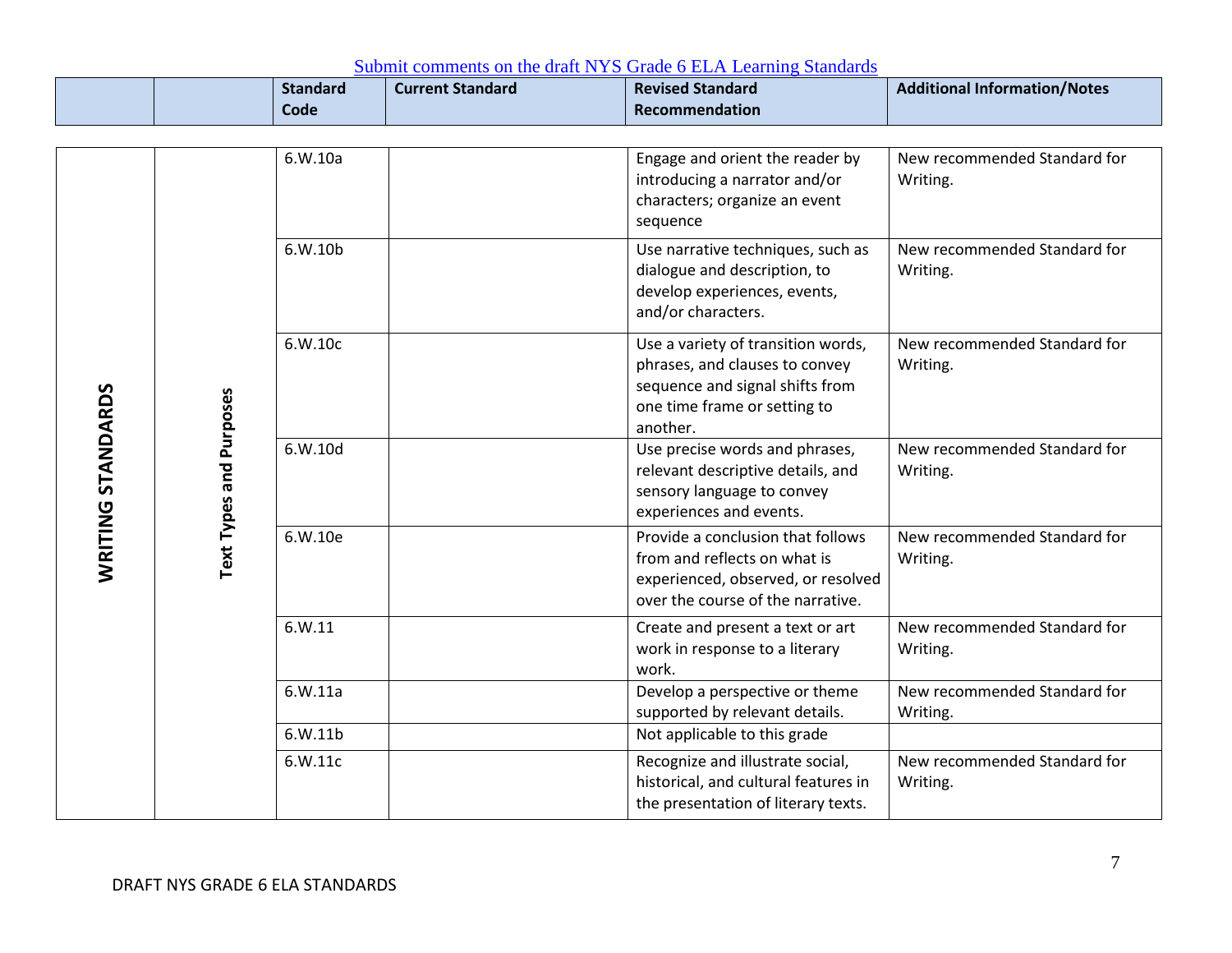|                   |                         | <b>Standard</b><br>Code | <b>Current Standard</b> | <b>Revised Standard</b><br>Recommendation                                                                                                           | <b>Additional Information/Notes</b>      |
|-------------------|-------------------------|-------------------------|-------------------------|-----------------------------------------------------------------------------------------------------------------------------------------------------|------------------------------------------|
|                   |                         |                         |                         |                                                                                                                                                     |                                          |
|                   |                         | 6.W.10a                 |                         | Engage and orient the reader by<br>introducing a narrator and/or<br>characters; organize an event<br>sequence                                       | New recommended Standard for<br>Writing. |
|                   |                         | 6.W.10b                 |                         | Use narrative techniques, such as<br>dialogue and description, to<br>develop experiences, events,<br>and/or characters.                             | New recommended Standard for<br>Writing. |
|                   |                         | 6.W.10c                 |                         | Use a variety of transition words,<br>phrases, and clauses to convey<br>sequence and signal shifts from<br>one time frame or setting to<br>another. | New recommended Standard for<br>Writing. |
| WRITING STANDARDS | Text Types and Purposes | 6.W.10d                 |                         | Use precise words and phrases,<br>relevant descriptive details, and<br>sensory language to convey<br>experiences and events.                        | New recommended Standard for<br>Writing. |
|                   |                         | 6.W.10e                 |                         | Provide a conclusion that follows<br>from and reflects on what is<br>experienced, observed, or resolved<br>over the course of the narrative.        | New recommended Standard for<br>Writing. |
|                   |                         | 6. W.11                 |                         | Create and present a text or art<br>work in response to a literary<br>work.                                                                         | New recommended Standard for<br>Writing. |
|                   |                         | 6.W.11a                 |                         | Develop a perspective or theme<br>supported by relevant details.                                                                                    | New recommended Standard for<br>Writing. |
|                   |                         | 6.W.11b                 |                         | Not applicable to this grade                                                                                                                        |                                          |
|                   |                         | 6.W.11c                 |                         | Recognize and illustrate social,<br>historical, and cultural features in<br>the presentation of literary texts.                                     | New recommended Standard for<br>Writing. |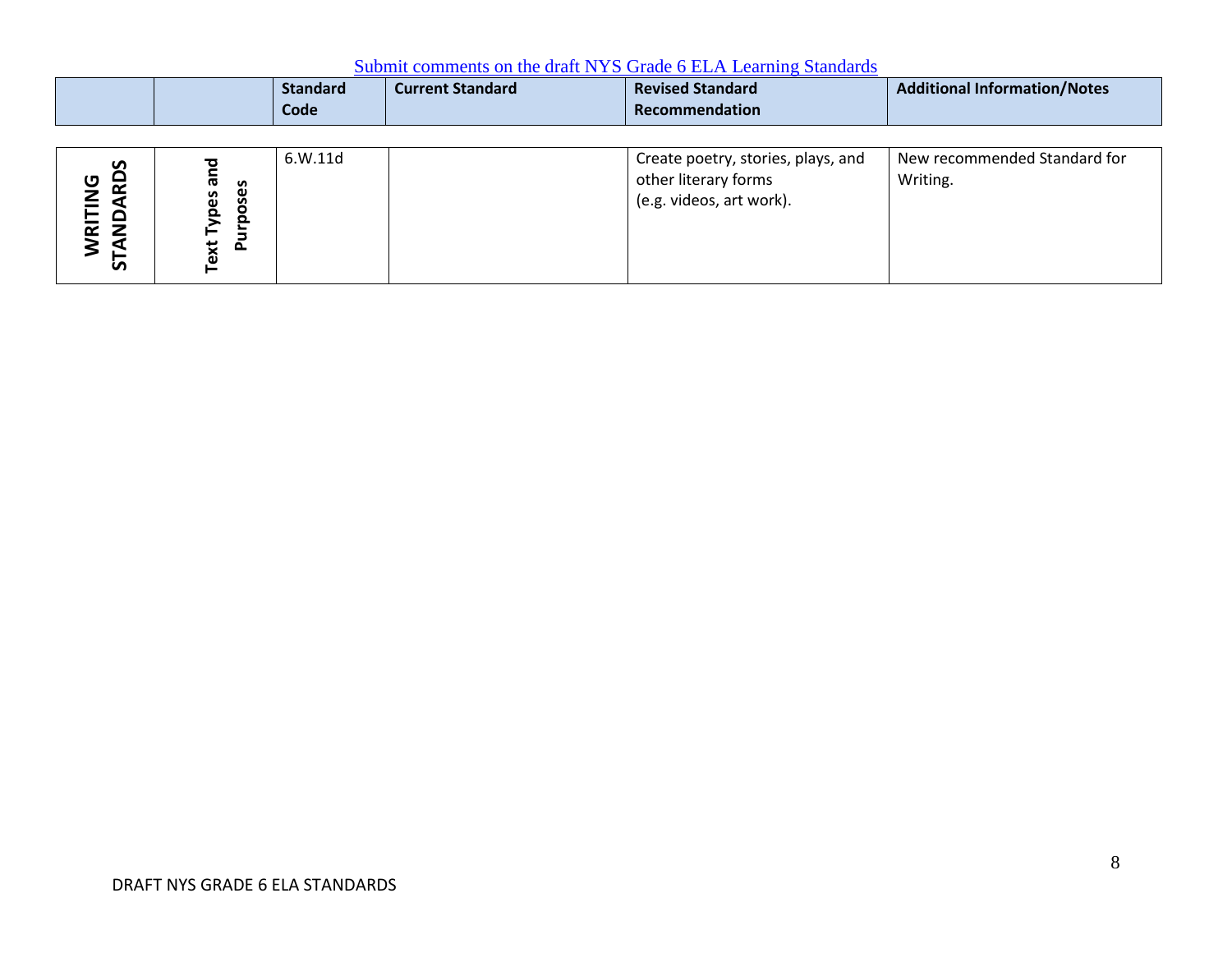|                                                     |                                           | <b>Standard</b><br>Code | <b>Current Standard</b> | <b>Revised Standard</b><br>Recommendation                                              | <b>Additional Information/Notes</b>      |
|-----------------------------------------------------|-------------------------------------------|-------------------------|-------------------------|----------------------------------------------------------------------------------------|------------------------------------------|
| <b>RDS</b><br>ט<br>RITIN<br><b>QNA</b><br><b>in</b> | <b>G</b><br>oses<br>pes<br>o.<br>ext<br>௨ | 6.W.11d                 |                         | Create poetry, stories, plays, and<br>other literary forms<br>(e.g. videos, art work). | New recommended Standard for<br>Writing. |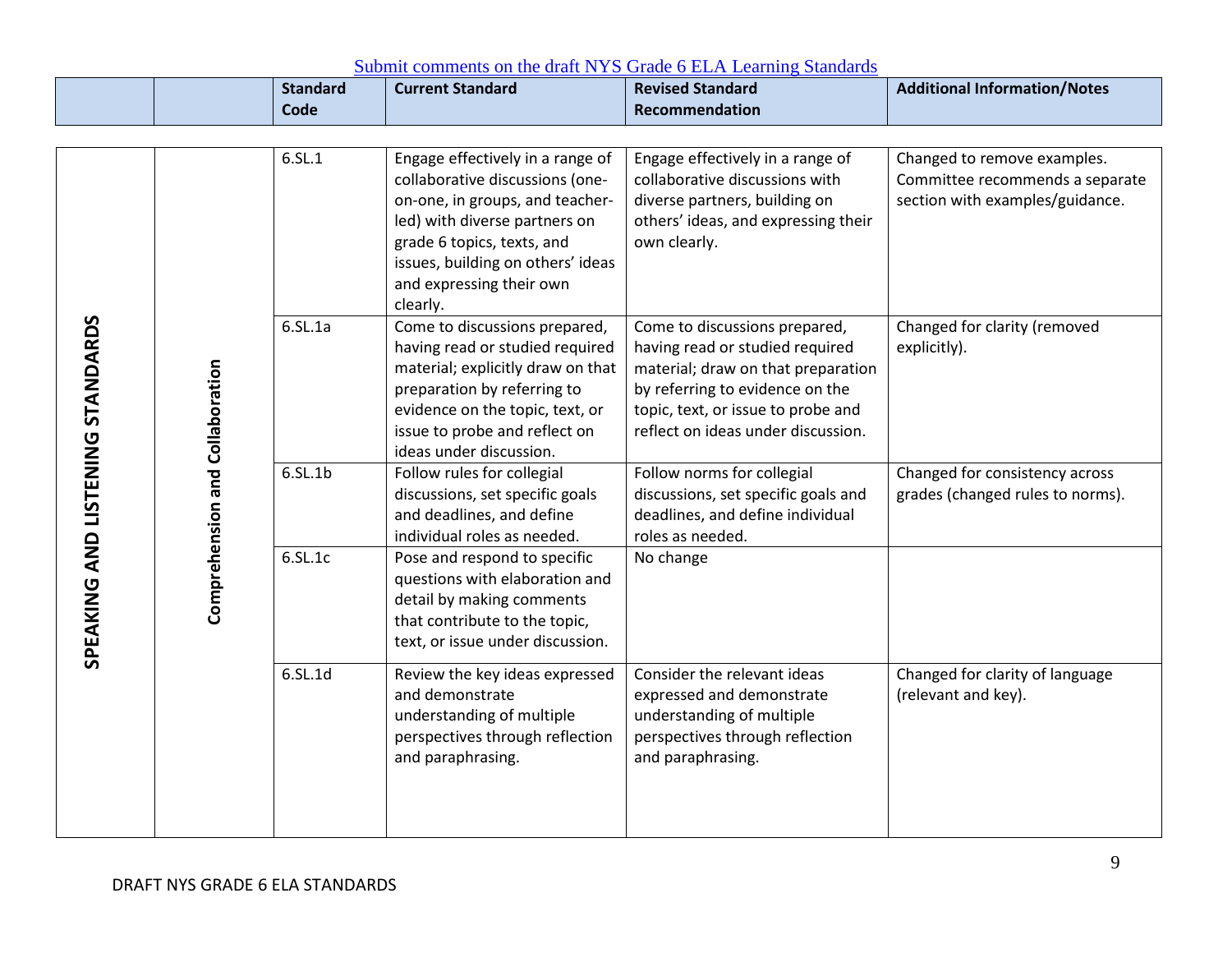|                                  |                                 | <b>Standard</b> | <b>Current Standard</b>                                                                                                                                                                                                                            | <b>Revised Standard</b>                                                                                                                                                                                               | <b>Additional Information/Notes</b>                                                               |
|----------------------------------|---------------------------------|-----------------|----------------------------------------------------------------------------------------------------------------------------------------------------------------------------------------------------------------------------------------------------|-----------------------------------------------------------------------------------------------------------------------------------------------------------------------------------------------------------------------|---------------------------------------------------------------------------------------------------|
|                                  |                                 | Code            |                                                                                                                                                                                                                                                    | Recommendation                                                                                                                                                                                                        |                                                                                                   |
|                                  |                                 | 6.5L.1          | Engage effectively in a range of<br>collaborative discussions (one-<br>on-one, in groups, and teacher-<br>led) with diverse partners on<br>grade 6 topics, texts, and<br>issues, building on others' ideas<br>and expressing their own<br>clearly. | Engage effectively in a range of<br>collaborative discussions with<br>diverse partners, building on<br>others' ideas, and expressing their<br>own clearly.                                                            | Changed to remove examples.<br>Committee recommends a separate<br>section with examples/guidance. |
| SPEAKING AND LISTENING STANDARDS | Comprehension and Collaboration | 6.5L.1a         | Come to discussions prepared,<br>having read or studied required<br>material; explicitly draw on that<br>preparation by referring to<br>evidence on the topic, text, or<br>issue to probe and reflect on<br>ideas under discussion.                | Come to discussions prepared,<br>having read or studied required<br>material; draw on that preparation<br>by referring to evidence on the<br>topic, text, or issue to probe and<br>reflect on ideas under discussion. | Changed for clarity (removed<br>explicitly).                                                      |
|                                  |                                 | 6.5L.1b         | Follow rules for collegial<br>discussions, set specific goals<br>and deadlines, and define<br>individual roles as needed.                                                                                                                          | Follow norms for collegial<br>discussions, set specific goals and<br>deadlines, and define individual<br>roles as needed.                                                                                             | Changed for consistency across<br>grades (changed rules to norms).                                |
|                                  |                                 | 6.SL.1c         | Pose and respond to specific<br>questions with elaboration and<br>detail by making comments<br>that contribute to the topic,<br>text, or issue under discussion.                                                                                   | No change                                                                                                                                                                                                             |                                                                                                   |
|                                  |                                 | 6.SL.1d         | Review the key ideas expressed<br>and demonstrate<br>understanding of multiple<br>perspectives through reflection<br>and paraphrasing.                                                                                                             | Consider the relevant ideas<br>expressed and demonstrate<br>understanding of multiple<br>perspectives through reflection<br>and paraphrasing.                                                                         | Changed for clarity of language<br>(relevant and key).                                            |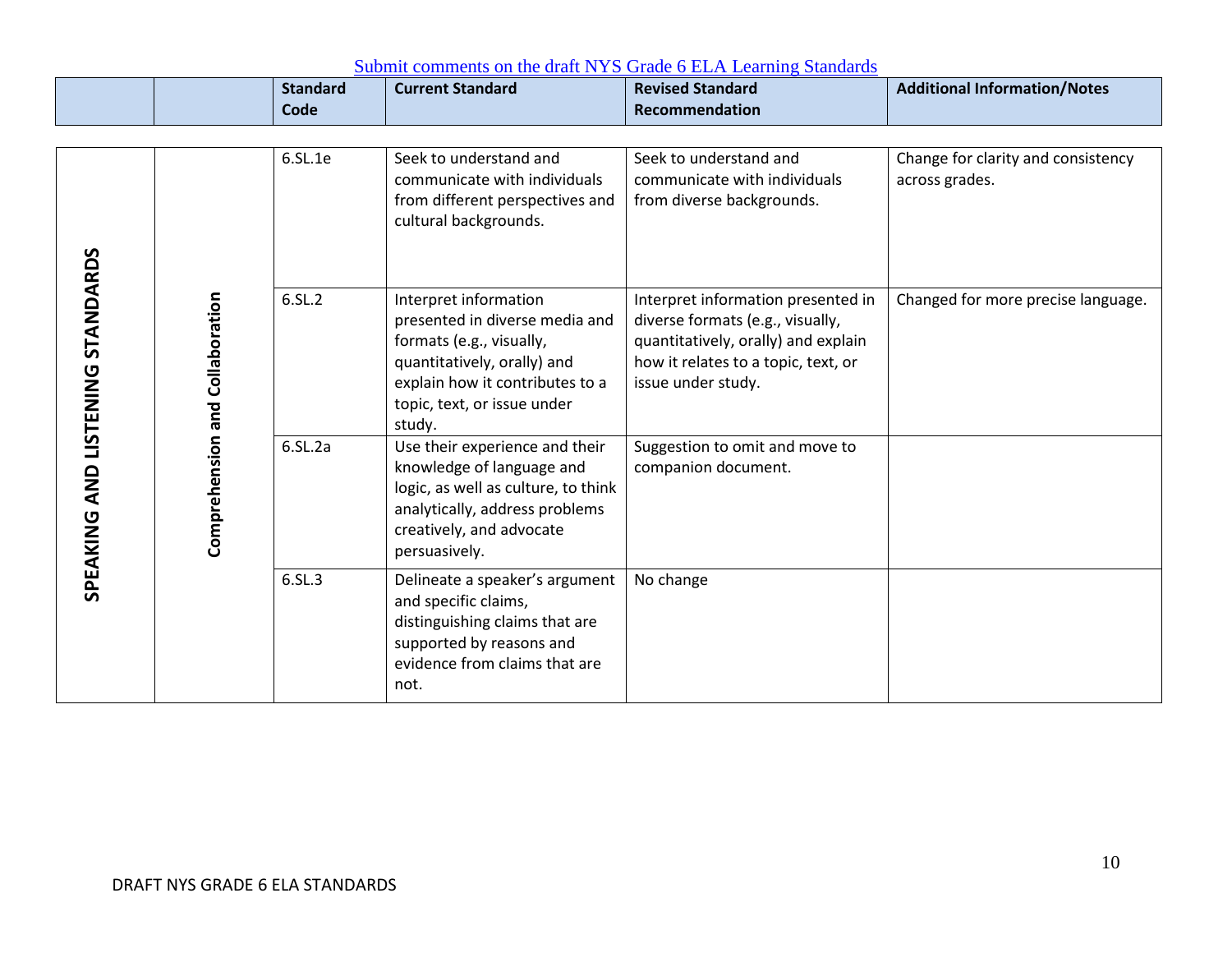|                                  |                                 | <b>Standard</b><br><b>Code</b> | <b>Current Standard</b>                                                                                                                                                                        | <b>Revised Standard</b><br>Recommendation                                                                                                                                  | <b>Additional Information/Notes</b>                  |
|----------------------------------|---------------------------------|--------------------------------|------------------------------------------------------------------------------------------------------------------------------------------------------------------------------------------------|----------------------------------------------------------------------------------------------------------------------------------------------------------------------------|------------------------------------------------------|
|                                  |                                 |                                |                                                                                                                                                                                                |                                                                                                                                                                            |                                                      |
|                                  |                                 | 6.SL.1e                        | Seek to understand and<br>communicate with individuals<br>from different perspectives and<br>cultural backgrounds.                                                                             | Seek to understand and<br>communicate with individuals<br>from diverse backgrounds.                                                                                        | Change for clarity and consistency<br>across grades. |
| SPEAKING AND LISTENING STANDARDS | Comprehension and Collaboration | 6.SL.2                         | Interpret information<br>presented in diverse media and<br>formats (e.g., visually,<br>quantitatively, orally) and<br>explain how it contributes to a<br>topic, text, or issue under<br>study. | Interpret information presented in<br>diverse formats (e.g., visually,<br>quantitatively, orally) and explain<br>how it relates to a topic, text, or<br>issue under study. | Changed for more precise language.                   |
|                                  |                                 | $6.$ SL $.2a$                  | Use their experience and their<br>knowledge of language and<br>logic, as well as culture, to think<br>analytically, address problems<br>creatively, and advocate<br>persuasively.              | Suggestion to omit and move to<br>companion document.                                                                                                                      |                                                      |
|                                  |                                 | 6.SL.3                         | Delineate a speaker's argument<br>and specific claims,<br>distinguishing claims that are<br>supported by reasons and<br>evidence from claims that are<br>not.                                  | No change                                                                                                                                                                  |                                                      |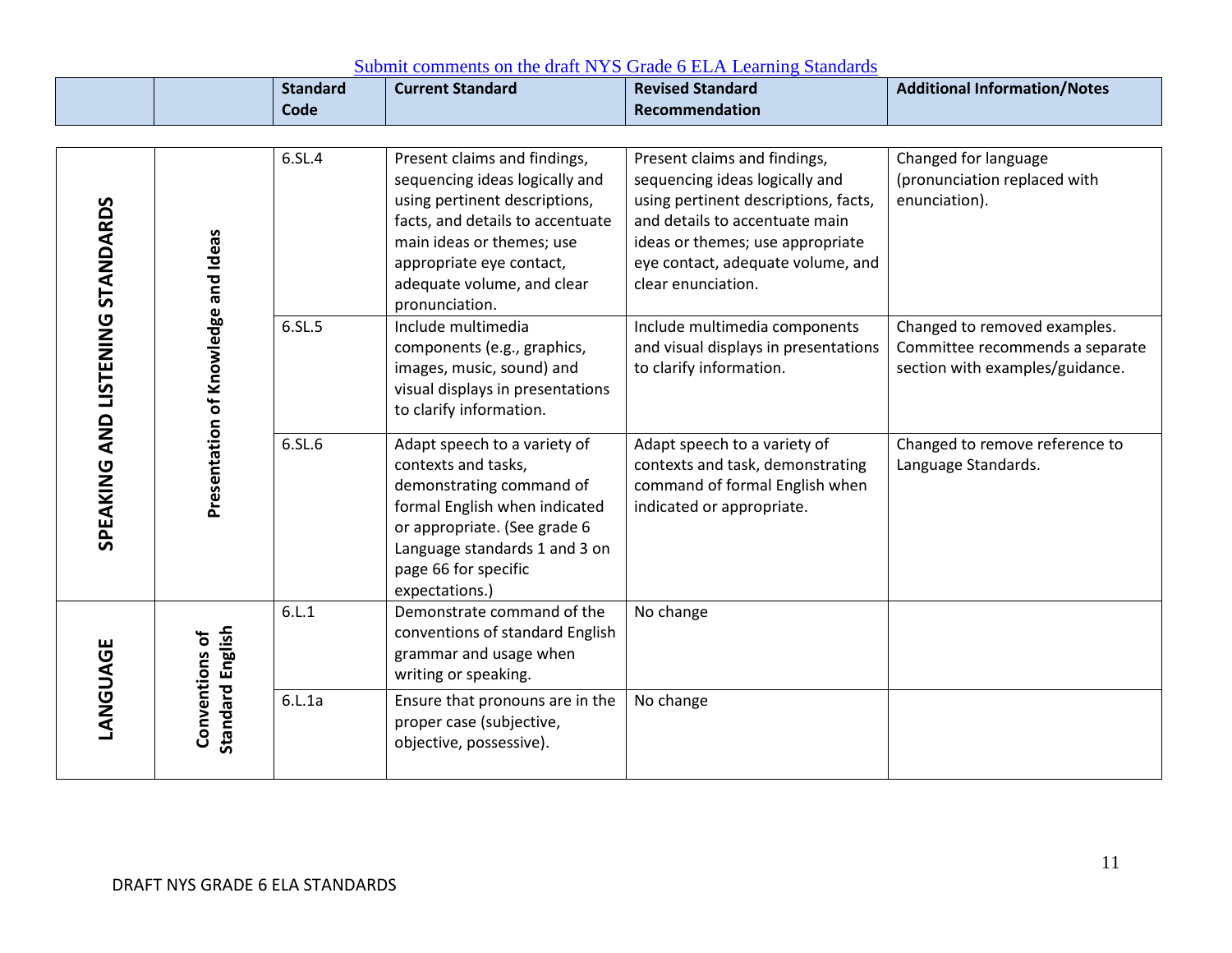|                                     |                                    | <b>Standard</b><br>Code | <b>Current Standard</b>                                                                                                                                                                                                                      | <b>Revised Standard</b><br>Recommendation                                                                                                                                                                                               | <b>Additional Information/Notes</b>                                                                |
|-------------------------------------|------------------------------------|-------------------------|----------------------------------------------------------------------------------------------------------------------------------------------------------------------------------------------------------------------------------------------|-----------------------------------------------------------------------------------------------------------------------------------------------------------------------------------------------------------------------------------------|----------------------------------------------------------------------------------------------------|
|                                     |                                    |                         |                                                                                                                                                                                                                                              |                                                                                                                                                                                                                                         |                                                                                                    |
| SPEAKING AND LISTENING STANDARDS    |                                    | 6.SL.4                  | Present claims and findings,<br>sequencing ideas logically and<br>using pertinent descriptions,<br>facts, and details to accentuate<br>main ideas or themes; use<br>appropriate eye contact,<br>adequate volume, and clear<br>pronunciation. | Present claims and findings,<br>sequencing ideas logically and<br>using pertinent descriptions, facts,<br>and details to accentuate main<br>ideas or themes; use appropriate<br>eye contact, adequate volume, and<br>clear enunciation. | Changed for language<br>(pronunciation replaced with<br>enunciation).                              |
| Presentation of Knowledge and Ideas |                                    | 6.SL.5                  | Include multimedia<br>components (e.g., graphics,<br>images, music, sound) and<br>visual displays in presentations<br>to clarify information.                                                                                                | Include multimedia components<br>and visual displays in presentations<br>to clarify information.                                                                                                                                        | Changed to removed examples.<br>Committee recommends a separate<br>section with examples/guidance. |
|                                     |                                    | 6.SL.6                  | Adapt speech to a variety of<br>contexts and tasks,<br>demonstrating command of<br>formal English when indicated<br>or appropriate. (See grade 6<br>Language standards 1 and 3 on<br>page 66 for specific<br>expectations.)                  | Adapt speech to a variety of<br>contexts and task, demonstrating<br>command of formal English when<br>indicated or appropriate.                                                                                                         | Changed to remove reference to<br>Language Standards.                                              |
|                                     |                                    | 6.L.1                   | Demonstrate command of the<br>conventions of standard English<br>grammar and usage when<br>writing or speaking.                                                                                                                              | No change                                                                                                                                                                                                                               |                                                                                                    |
| LANGUAGE                            | Standard English<br>Conventions of | 6.L.1a                  | Ensure that pronouns are in the<br>proper case (subjective,<br>objective, possessive).                                                                                                                                                       | No change                                                                                                                                                                                                                               |                                                                                                    |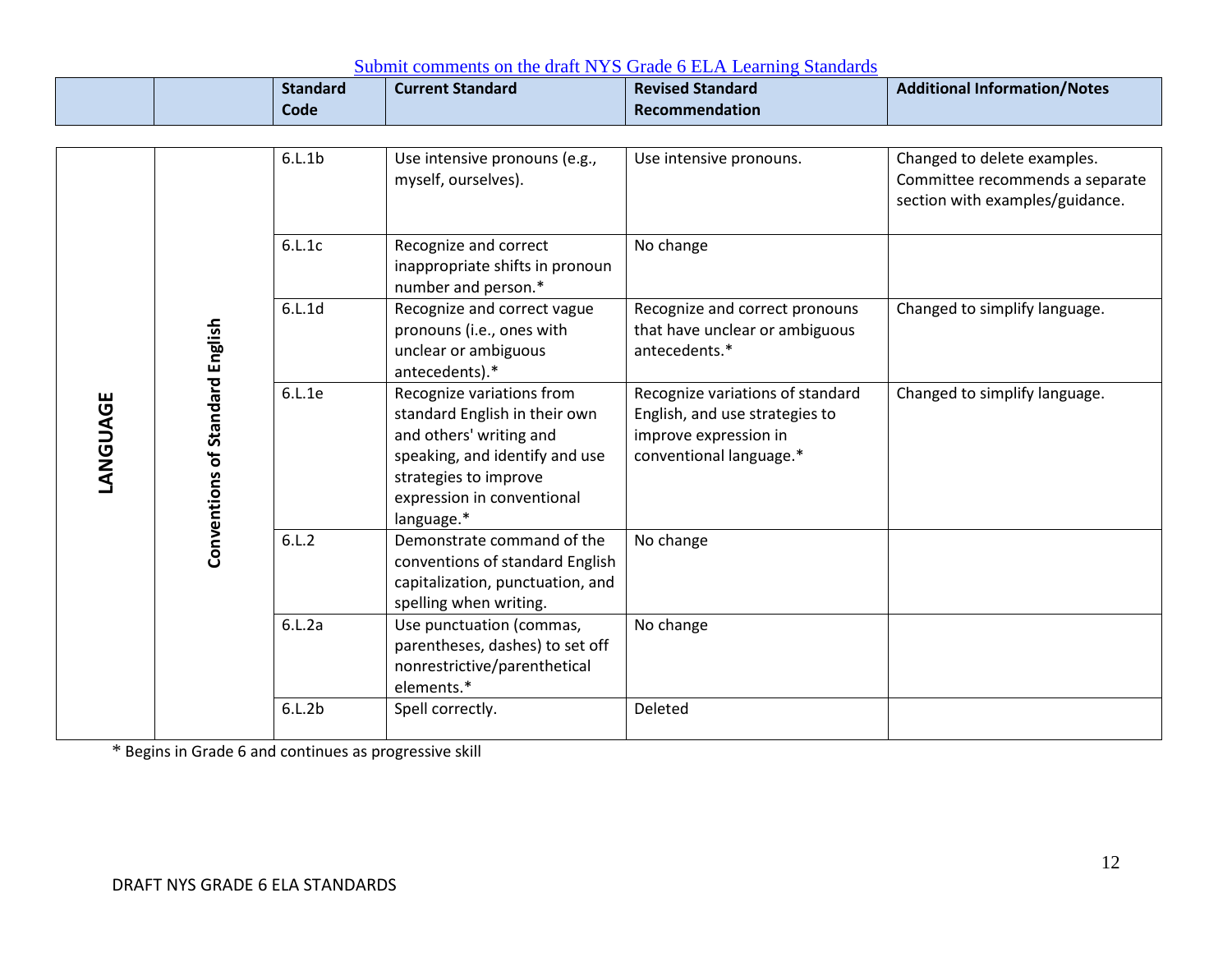|         |                                 | <b>Standard</b><br>Code | <b>Current Standard</b>                                                                                                                                                                      | <b>Revised Standard</b><br><b>Recommendation</b>                                                                       | <b>Additional Information/Notes</b>                                |
|---------|---------------------------------|-------------------------|----------------------------------------------------------------------------------------------------------------------------------------------------------------------------------------------|------------------------------------------------------------------------------------------------------------------------|--------------------------------------------------------------------|
|         |                                 | 6.L.1b                  | Use intensive pronouns (e.g.,                                                                                                                                                                | Use intensive pronouns.                                                                                                | Changed to delete examples.                                        |
|         |                                 |                         | myself, ourselves).                                                                                                                                                                          |                                                                                                                        | Committee recommends a separate<br>section with examples/guidance. |
|         |                                 | 6.L.1c                  | Recognize and correct<br>inappropriate shifts in pronoun<br>number and person.*                                                                                                              | No change                                                                                                              |                                                                    |
| ANGUAGE |                                 | 6.L.1d                  | Recognize and correct vague<br>pronouns (i.e., ones with<br>unclear or ambiguous<br>antecedents).*                                                                                           | Recognize and correct pronouns<br>that have unclear or ambiguous<br>antecedents.*                                      | Changed to simplify language.                                      |
|         | Conventions of Standard English | 6.L.1e                  | Recognize variations from<br>standard English in their own<br>and others' writing and<br>speaking, and identify and use<br>strategies to improve<br>expression in conventional<br>language.* | Recognize variations of standard<br>English, and use strategies to<br>improve expression in<br>conventional language.* | Changed to simplify language.                                      |
|         |                                 | 6.L.2                   | Demonstrate command of the<br>conventions of standard English<br>capitalization, punctuation, and<br>spelling when writing.                                                                  | No change                                                                                                              |                                                                    |
|         |                                 | 6.L.2a                  | Use punctuation (commas,<br>parentheses, dashes) to set off<br>nonrestrictive/parenthetical<br>elements.*                                                                                    | No change                                                                                                              |                                                                    |
|         |                                 | 6.L.2b                  | Spell correctly.                                                                                                                                                                             | Deleted                                                                                                                |                                                                    |

\* Begins in Grade 6 and continues as progressive skill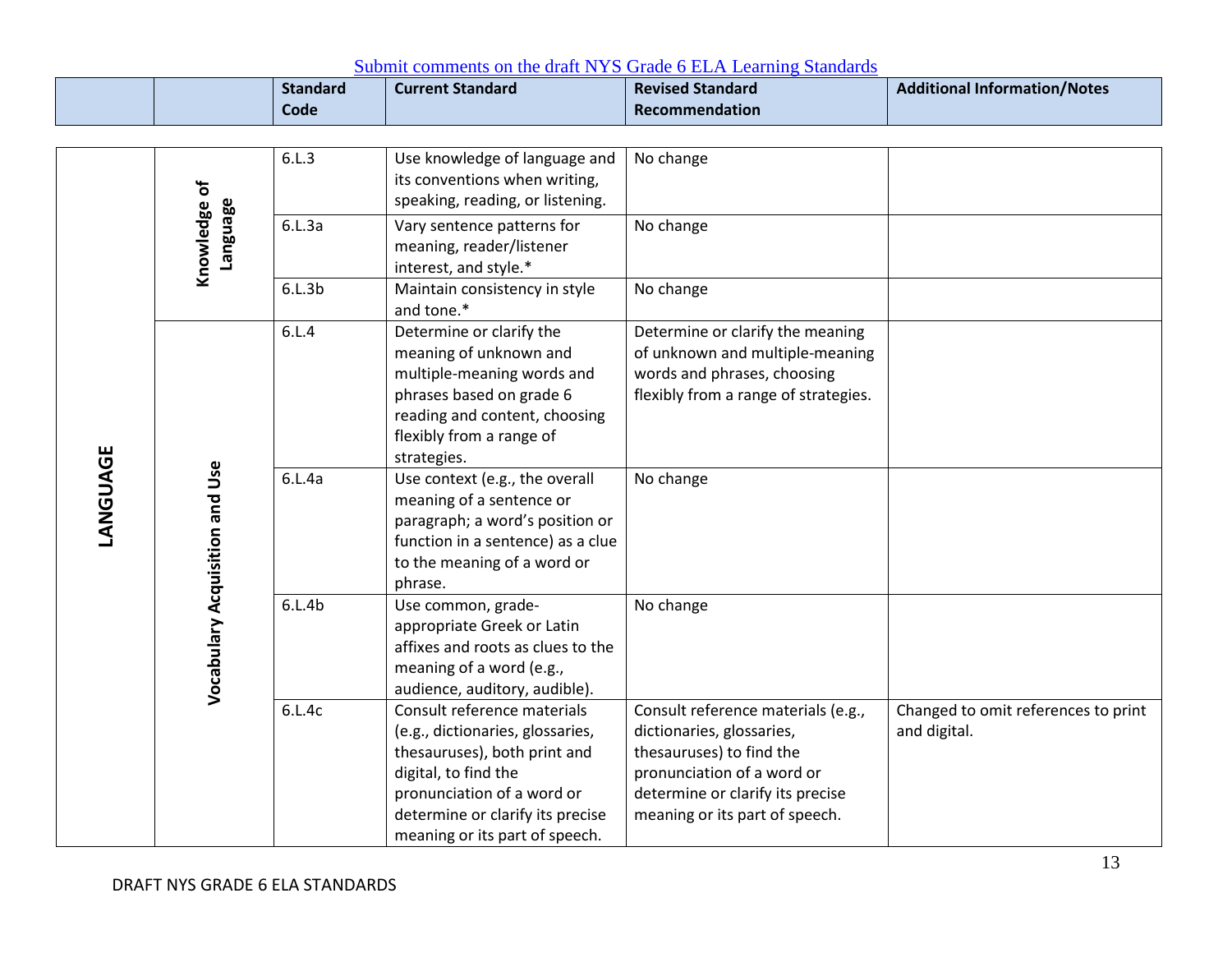|          |                                 | <b>Standard</b><br>Code | <b>Davidle Community on the Graft TVTD Orage of Lill I Louising, Dramatical</b><br><b>Current Standard</b>                                                                                                                  | <b>Revised Standard</b><br>Recommendation                                                                                                                                                       | <b>Additional Information/Notes</b>                 |
|----------|---------------------------------|-------------------------|-----------------------------------------------------------------------------------------------------------------------------------------------------------------------------------------------------------------------------|-------------------------------------------------------------------------------------------------------------------------------------------------------------------------------------------------|-----------------------------------------------------|
|          |                                 |                         |                                                                                                                                                                                                                             |                                                                                                                                                                                                 |                                                     |
| LANGUAGE | Knowledge of<br><b>Language</b> | 6.L.3                   | Use knowledge of language and<br>its conventions when writing,<br>speaking, reading, or listening.                                                                                                                          | No change                                                                                                                                                                                       |                                                     |
|          |                                 | 6.L.3a                  | Vary sentence patterns for<br>meaning, reader/listener<br>interest, and style.*                                                                                                                                             | No change                                                                                                                                                                                       |                                                     |
|          |                                 | 6.L.3b                  | Maintain consistency in style<br>and tone.*                                                                                                                                                                                 | No change                                                                                                                                                                                       |                                                     |
|          | Vocabulary Acquisition and Use  | 6.L.4                   | Determine or clarify the<br>meaning of unknown and<br>multiple-meaning words and<br>phrases based on grade 6<br>reading and content, choosing<br>flexibly from a range of<br>strategies.                                    | Determine or clarify the meaning<br>of unknown and multiple-meaning<br>words and phrases, choosing<br>flexibly from a range of strategies.                                                      |                                                     |
|          |                                 | 6.L.4a                  | Use context (e.g., the overall<br>meaning of a sentence or<br>paragraph; a word's position or<br>function in a sentence) as a clue<br>to the meaning of a word or<br>phrase.                                                | No change                                                                                                                                                                                       |                                                     |
|          |                                 | 6.L.4b                  | Use common, grade-<br>appropriate Greek or Latin<br>affixes and roots as clues to the<br>meaning of a word (e.g.,<br>audience, auditory, audible).                                                                          | No change                                                                                                                                                                                       |                                                     |
|          |                                 | 6.L.4c                  | Consult reference materials<br>(e.g., dictionaries, glossaries,<br>thesauruses), both print and<br>digital, to find the<br>pronunciation of a word or<br>determine or clarify its precise<br>meaning or its part of speech. | Consult reference materials (e.g.,<br>dictionaries, glossaries,<br>thesauruses) to find the<br>pronunciation of a word or<br>determine or clarify its precise<br>meaning or its part of speech. | Changed to omit references to print<br>and digital. |